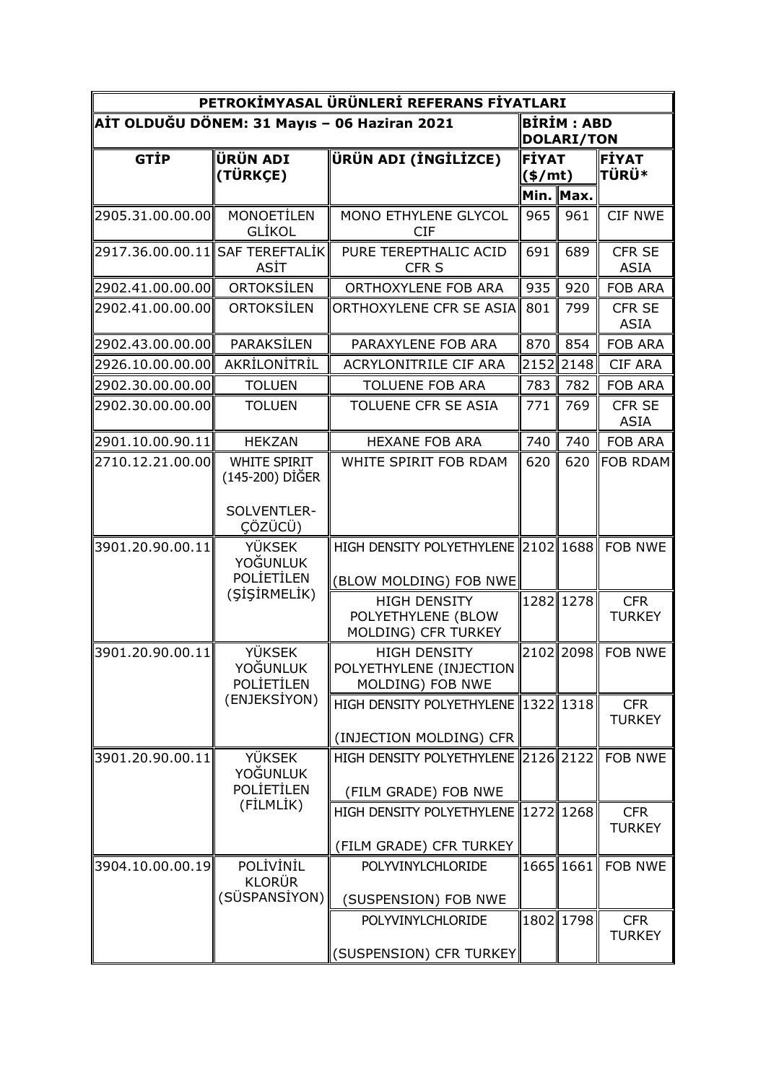| PETROKİMYASAL ÜRÜNLERİ REFERANS FİYATLARI    |                                                |                                                                    |                                        |                                        |                              |  |  |  |
|----------------------------------------------|------------------------------------------------|--------------------------------------------------------------------|----------------------------------------|----------------------------------------|------------------------------|--|--|--|
| AİT OLDUĞU DÖNEM: 31 Mayıs - 06 Haziran 2021 |                                                |                                                                    |                                        | <b>BIRIM: ABD</b><br><b>DOLARI/TON</b> |                              |  |  |  |
| <b>GTİP</b>                                  | ÜRÜN ADI<br>(TÜRKÇE)                           | ÜRÜN ADI (İNGİLİZCE)                                               | <b>FİYAT</b><br>$(\frac{\epsilon}{m})$ |                                        | ⊫iyat<br><b>TÜRÜ*</b>        |  |  |  |
|                                              |                                                |                                                                    |                                        | Min. Max.                              |                              |  |  |  |
| 2905.31.00.00.00                             | <b>MONOETİLEN</b><br><b>GLIKOL</b>             | MONO ETHYLENE GLYCOL<br><b>CIF</b>                                 | 965                                    | 961                                    | <b>CIF NWE</b>               |  |  |  |
| 2917.36.00.00.11  SAF TEREFTALİK             | ASİT                                           | PURE TEREPTHALIC ACID<br>CFR <sub>S</sub>                          | 691                                    | 689                                    | CFR SE<br><b>ASIA</b>        |  |  |  |
| 2902.41.00.00.00                             | ORTOKSİLEN                                     | ORTHOXYLENE FOB ARA                                                | 935                                    | 920                                    | <b>FOB ARA</b>               |  |  |  |
| 2902.41.00.00.00                             | ORTOKSİLEN                                     | ORTHOXYLENE CFR SE ASIA                                            | 801                                    | 799                                    | <b>CFR SE</b><br><b>ASIA</b> |  |  |  |
| 2902.43.00.00.00                             | PARAKSİLEN                                     | PARAXYLENE FOB ARA                                                 | 870                                    | 854                                    | <b>FOB ARA</b>               |  |  |  |
| 2926.10.00.00.00                             | AKRİLONİTRİL                                   | ACRYLONITRILE CIF ARA                                              |                                        | 2152 2148                              | <b>CIF ARA</b>               |  |  |  |
| 2902.30.00.00.00                             | <b>TOLUEN</b>                                  | <b>TOLUENE FOB ARA</b>                                             | 783                                    | 782                                    | <b>FOB ARA</b>               |  |  |  |
| 2902.30.00.00.00                             | <b>TOLUEN</b>                                  | TOLUENE CFR SE ASIA                                                | 771                                    | 769                                    | <b>CFR SE</b><br><b>ASIA</b> |  |  |  |
| 2901.10.00.90.11                             | <b>HEKZAN</b>                                  | <b>HEXANE FOB ARA</b>                                              | 740                                    | 740                                    | <b>FOB ARA</b>               |  |  |  |
| 2710.12.21.00.00                             | <b>WHITE SPIRIT</b><br>(145-200) DİĞER         | WHITE SPIRIT FOB RDAM                                              | 620                                    | 620                                    | <b>FOB RDAM</b>              |  |  |  |
|                                              | SOLVENTLER-<br>CÖZÜCÜ)                         |                                                                    |                                        |                                        |                              |  |  |  |
| 3901.20.90.00.11                             | <b>YÜKSEK</b>                                  | HIGH DENSITY POLYETHYLENE 2102 1688                                |                                        |                                        | <b>FOB NWE</b>               |  |  |  |
|                                              | YOĞUNLUK<br>POLIETILEN<br>(ŞİŞİRMELİK)         | (BLOW MOLDING) FOB NWE                                             |                                        |                                        |                              |  |  |  |
|                                              |                                                | <b>HIGH DENSITY</b><br>POLYETHYLENE (BLOW<br>MOLDING) CFR TURKEY   |                                        | 1282 1278                              | <b>CFR</b><br><b>TURKEY</b>  |  |  |  |
| 3901.20.90.00.11                             | <b>YÜKSEK</b><br><b>YOĞUNLUK</b><br>POLIETILEN | <b>HIGH DENSITY</b><br>POLYETHYLENE (INJECTION<br>MOLDING) FOB NWE |                                        |                                        | 2102 2098 FOB NWE            |  |  |  |
|                                              | (ENJEKSİYON)                                   | HIGH DENSITY POLYETHYLENE 1322 1318                                |                                        |                                        | <b>CFR</b><br><b>TURKEY</b>  |  |  |  |
|                                              |                                                | (INJECTION MOLDING) CFR                                            |                                        |                                        |                              |  |  |  |
| 3901.20.90.00.11                             | <b>YÜKSEK</b><br>YOĞUNLUK                      | HIGH DENSITY POLYETHYLENE 2126 2122                                |                                        |                                        | <b>FOB NWE</b>               |  |  |  |
|                                              | POLIETILEN<br>(FİLMLİK)                        | (FILM GRADE) FOB NWE                                               |                                        |                                        |                              |  |  |  |
|                                              |                                                | HIGH DENSITY POLYETHYLENE 1272 1268                                |                                        |                                        | <b>CFR</b><br><b>TURKEY</b>  |  |  |  |
|                                              |                                                | (FILM GRADE) CFR TURKEY                                            |                                        |                                        |                              |  |  |  |
| 3904.10.00.00.19                             | POLİVİNİL<br><b>KLORÜR</b><br>(SÜSPANSİYON)    | POLYVINYLCHLORIDE                                                  |                                        | 1665 1661                              | <b>FOB NWE</b>               |  |  |  |
|                                              |                                                | (SUSPENSION) FOB NWE                                               |                                        |                                        |                              |  |  |  |
|                                              |                                                | POLYVINYLCHLORIDE                                                  |                                        | 1802 1798                              | <b>CFR</b><br><b>TURKEY</b>  |  |  |  |
|                                              |                                                | (SUSPENSION) CFR TURKEY                                            |                                        |                                        |                              |  |  |  |